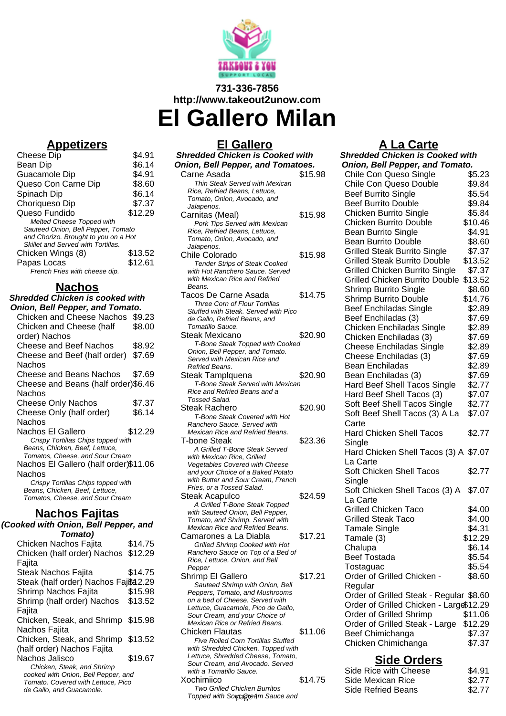

# **731-336-7856 http://www.takeout2unow.com El Gallero Milan**

### **Appetizers**

| <b>Cheese Dip</b>                    | \$4.91  |
|--------------------------------------|---------|
| Bean Dip                             | \$6.14  |
| Guacamole Dip                        | \$4.91  |
| Queso Con Carne Dip                  | \$8.60  |
| Spinach Dip                          | \$6.14  |
| Choriqueso Dip                       | \$7.37  |
| Queso Fundido                        | \$12.29 |
| <b>Melted Cheese Topped with</b>     |         |
| Sauteed Onion, Bell Pepper, Tomato   |         |
| and Chorizo. Brought to you on a Hot |         |
| Skillet and Served with Tortillas.   |         |
| Chicken Wings (8)                    | \$13.52 |
| Papas Locas                          | \$12.61 |
| French Fries with cheese dip.        |         |

# **Nachos**

**Shredded Chicken is cooked with Onion, Bell Pepper, and Tomato.** Chicken and Cheese Nachos \$9.23 Chicken and Cheese (half order) Nachos \$8.00 Cheese and Beef Nachos \$8.92 Cheese and Beef (half order) \$7.69 Nachos Cheese and Beans Nachos \$7.69 Cheese and Beans (half order) \$6.46 Nachos Cheese Only Nachos \$7.37 Cheese Only (half order) Nachos \$6.14 Nachos El Gallero \$12.29 Crispy Tortillas Chips topped with Beans, Chicken, Beef, Lettuce, Tomatos, Cheese, and Sour Cream Nachos El Gallero (half order) \$11.06 Nachos Crispy Tortillas Chips topped with Beans, Chicken, Beef, Lettuce, Tomatos, Cheese, and Sour Cream **Nachos Fajitas (Cooked with Onion, Bell Pepper, and Tomato)** Chicken Nachos Fajita \$14.75 Chicken (half order) Nachos Fajita \$12.29

| oked with Onion, Bell Pepper, and                              |         |  |
|----------------------------------------------------------------|---------|--|
| Tomato)                                                        |         |  |
| Chicken Nachos Fajita                                          | \$14.75 |  |
| Chicken (half order) Nachos \$12.29                            |         |  |
| Fajita                                                         |         |  |
| Steak Nachos Fajita                                            | \$14.75 |  |
| Steak (half order) Nachos Fajßa2.29                            |         |  |
| Shrimp Nachos Fajita                                           | \$15.98 |  |
| Shrimp (half order) Nachos                                     | \$13.52 |  |
| Fajita                                                         |         |  |
| Chicken, Steak, and Shrimp \$15.98                             |         |  |
| Nachos Fajita                                                  |         |  |
| Chicken, Steak, and Shrimp \$13.52                             |         |  |
| (half order) Nachos Fajita                                     |         |  |
| Nachos Jalisco                                                 | \$19.67 |  |
| Chicken, Steak, and Shrimp                                     |         |  |
| cooked with Onion, Bell Pepper, and                            |         |  |
| Tomato. Covered with Lettuce, Pico<br>de Gallo, and Guacamole. |         |  |
|                                                                |         |  |

## **El Gallero**

| <b>Shredded Chicken is Cooked with</b>                                     |         |  |
|----------------------------------------------------------------------------|---------|--|
| <b>Onion, Bell Pepper, and Tomatoes.</b>                                   |         |  |
| Carne Asada                                                                | \$15.98 |  |
| Thin Steak Served with Mexican                                             |         |  |
| Rice, Refried Beans, Lettuce,                                              |         |  |
| Tomato, Onion, Avocado, and                                                |         |  |
| Jalapenos.                                                                 |         |  |
| Carnitas (Meal)<br>Pork Tips Served with Mexican                           | \$15.98 |  |
| Rice, Refried Beans, Lettuce,                                              |         |  |
| Tomato, Onion, Avocado, and                                                |         |  |
| Jalapenos.                                                                 |         |  |
| Chile Colorado                                                             | \$15.98 |  |
| <b>Tender Strips of Steak Cooked</b>                                       |         |  |
| with Hot Ranchero Sauce. Served                                            |         |  |
| with Mexican Rice and Refried                                              |         |  |
| Beans.                                                                     |         |  |
| Tacos De Carne Asada                                                       | \$14.75 |  |
| Three Corn of Flour Tortillas                                              |         |  |
| Stuffed with Steak. Served with Pico<br>de Gallo, Refried Beans, and       |         |  |
| Tomatillo Sauce.                                                           |         |  |
| Steak Mexicano                                                             | \$20.90 |  |
| T-Bone Steak Topped with Cooked                                            |         |  |
| Onion, Bell Pepper, and Tomato.                                            |         |  |
| Served with Mexican Rice and                                               |         |  |
| Refried Beans.                                                             |         |  |
| Steak Tamplquena                                                           | \$20.90 |  |
| <b>T-Bone Steak Served with Mexican</b><br>Rice and Refried Beans and a    |         |  |
| Tossed Salad.                                                              |         |  |
| Steak Rachero                                                              | \$20.90 |  |
| T-Bone Steak Covered with Hot                                              |         |  |
| Ranchero Sauce. Served with                                                |         |  |
| Mexican Rice and Refried Beans.                                            |         |  |
| <b>T-bone Steak</b>                                                        | \$23.36 |  |
| A Grilled T-Bone Steak Served                                              |         |  |
| with Mexican Rice, Grilled                                                 |         |  |
| <b>Vegetables Covered with Cheese</b><br>and your Choice of a Baked Potato |         |  |
| with Butter and Sour Cream, French                                         |         |  |
| Fries, or a Tossed Salad.                                                  |         |  |
| Steak Acapulco                                                             | \$24.59 |  |
| A Grilled T-Bone Steak Topped                                              |         |  |
| with Sauteed Onion, Bell Pepper,                                           |         |  |
| Tomato, and Shrimp. Served with                                            |         |  |
| Mexican Rice and Refried Beans.                                            |         |  |
| Camarones a La Diabla                                                      | \$17.21 |  |
| Grilled Shrimp Cooked with Hot<br>Ranchero Sauce on Top of a Bed of        |         |  |
| Rice, Lettuce, Onion, and Bell                                             |         |  |
| Pepper                                                                     |         |  |
| Shrimp El Gallero                                                          | \$17.21 |  |
| Sauteed Shrimp with Onion, Bell                                            |         |  |
| Peppers, Tomato, and Mushrooms                                             |         |  |
| on a bed of Cheese. Served with                                            |         |  |
| Lettuce, Guacamole, Pico de Gallo,<br>Sour Cream, and your Choice of       |         |  |
| Mexican Rice or Refried Beans.                                             |         |  |
| <b>Chicken Flautas</b>                                                     | \$11.06 |  |
| Five Rolled Corn Tortillas Stuffed                                         |         |  |
| with Shredded Chicken. Topped with                                         |         |  |
| Lettuce, Shredded Cheese, Tomato,                                          |         |  |
| Sour Cream, and Avocado. Served                                            |         |  |
| with a Tomatillo Sauce.<br>Xochimiico                                      |         |  |
|                                                                            | \$14.75 |  |

Two Grilled Chicken Burritos Topped with Sowageearn Sauce and

## **A La Carte**

| - - - - - - - - - - -                  |
|----------------------------------------|
| <b>Shredded Chicken is Cooked with</b> |
| Onion, Bell Pepper, and Tomato.        |

| Chile Con Queso Single                  | \$5.23  |  |
|-----------------------------------------|---------|--|
| Chile Con Queso Double                  | \$9.84  |  |
| <b>Beef Burrito Single</b>              | \$5.54  |  |
| <b>Beef Burrito Double</b>              | \$9.84  |  |
| Chicken Burrito Single                  | \$5.84  |  |
| Chicken Burrito Double                  | \$10.46 |  |
|                                         |         |  |
| <b>Bean Burrito Single</b>              | \$4.91  |  |
| <b>Bean Burrito Double</b>              | \$8.60  |  |
| <b>Grilled Steak Burrito Single</b>     | \$7.37  |  |
| <b>Grilled Steak Burrito Double</b>     | \$13.52 |  |
| <b>Grilled Chicken Burrito Single</b>   | \$7.37  |  |
| <b>Grilled Chicken Burrito Double</b>   | \$13.52 |  |
| <b>Shrimp Burrito Single</b>            | \$8.60  |  |
| <b>Shrimp Burrito Double</b>            | \$14.76 |  |
| <b>Beef Enchiladas Single</b>           | \$2.89  |  |
| Beef Enchiladas (3)                     | \$7.69  |  |
| Chicken Enchiladas Single               | \$2.89  |  |
| Chicken Enchiladas (3)                  | \$7.69  |  |
| <b>Cheese Enchiladas Single</b>         | \$2.89  |  |
| Cheese Enchiladas (3)                   | \$7.69  |  |
|                                         |         |  |
| <b>Bean Enchiladas</b>                  | \$2.89  |  |
| Bean Enchiladas (3)                     | \$7.69  |  |
| Hard Beef Shell Tacos Single            | \$2.77  |  |
| Hard Beef Shell Tacos (3)               | \$7.07  |  |
| Soft Beef Shell Tacos Single            | \$2.77  |  |
| Soft Beef Shell Tacos (3) A La          | \$7.07  |  |
| Carte                                   |         |  |
| <b>Hard Chicken Shell Tacos</b>         | \$2.77  |  |
| Single                                  |         |  |
| Hard Chicken Shell Tacos (3) A \$7.07   |         |  |
| La Carte                                |         |  |
| Soft Chicken Shell Tacos                | \$2.77  |  |
| Single                                  |         |  |
| Soft Chicken Shell Tacos (3) A          | \$7.07  |  |
| La Carte                                |         |  |
| <b>Grilled Chicken Taco</b>             |         |  |
|                                         | \$4.00  |  |
| <b>Grilled Steak Taco</b>               | \$4.00  |  |
| <b>Tamale Single</b>                    | \$4.31  |  |
| Tamale (3)                              | \$12.29 |  |
| Chalupa                                 | \$6.14  |  |
| <b>Beef Tostada</b>                     | \$5.54  |  |
| Tostaguac                               | \$5.54  |  |
| Order of Grilled Chicken -              | \$8.60  |  |
| Regular                                 |         |  |
| Order of Grilled Steak - Regular \$8.60 |         |  |
| Order of Grilled Chicken - Large\$12.29 |         |  |
| Order of Grilled Shrimp                 | \$11.06 |  |
| Order of Grilled Steak - Large          | \$12.29 |  |
| Beef Chimichanga                        | \$7.37  |  |
| Chicken Chimichanga                     | \$7.37  |  |
|                                         |         |  |
| <b>Side Orders</b>                      |         |  |
|                                         |         |  |

| Side Rice with Cheese | \$4.91 |
|-----------------------|--------|
| Side Mexican Rice     | \$2.77 |
| Side Refried Beans    | \$2.77 |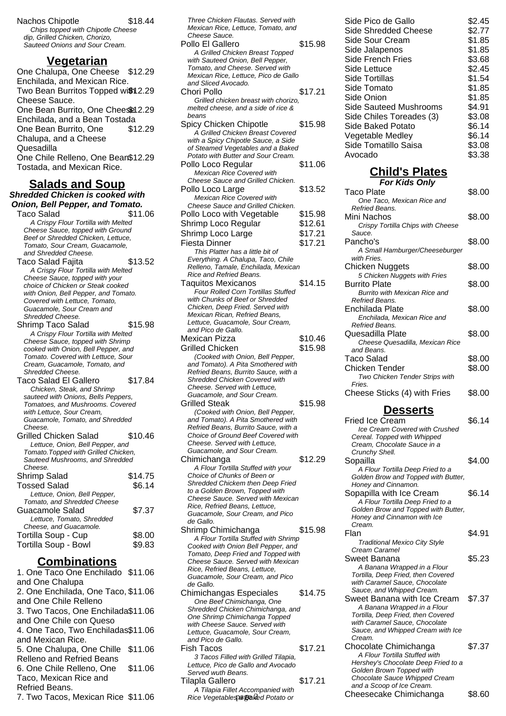Nachos Chipotle \$18.44 Chips topped with Chipotle Cheese dip, Grilled Chicken, Chorizo, Sauteed Onions and Sour Cream.

#### **Vegetarian**

One Chalupa, One Cheese \$12.29 Enchilada, and Mexican Rice. Two Bean Burritos Topped with 2.29 Cheese Sauce. One Bean Burrito, One Cheesel 2.29 Enchilada, and a Bean Tostada One Bean Burrito, One Chalupa, and a Cheese Quesadilla \$12.29 One Chile Relleno, One Bean \$12.29 Tostada, and Mexican Rice.

#### **Salads and Soup Shredded Chicken is cooked with Onion, Bell Pepper, and Tomato.**

Taco Salad  $$11.06$ A Crispy Flour Tortilla with Melted Cheese Sauce, topped with Ground Beef or Shredded Chicken, Lettuce, Tomato, Sour Cream, Guacamole, and Shredded Cheese. Taco Salad Faiita **\$13.52** A Crispy Flour Tortilla with Melted Cheese Sauce, topped with your choice of Chicken or Steak cooked with Onion, Bell Pepper, and Tomato. Covered with Lettuce, Tomato, Guacamole, Sour Cream and Shredded Cheese. Shrimp Taco Salad \$15.98 A Crispy Flour Tortilla with Melted Cheese Sauce, topped with Shrimp cooked with Onion, Bell Pepper, and Tomato. Covered with Lettuce, Sour Cream, Guacamole, Tomato, and Shredded Cheese. Taco Salad El Gallero \$17.84 Chicken, Steak, and Shrimp sauteed with Onions, Bells Peppers, Tomatoes, and Mushrooms. Covered with Lettuce, Sour Cream, Guacamole, Tomato, and Shredded Cheese. Grilled Chicken Salad \$10.46 Lettuce, Onion, Bell Pepper, and Tomato.Topped with Grilled Chicken, Sauteed Mushrooms, and Shredded Cheese. Shrimp Salad \$14.75 Tossed Salad \$6.14 Lettuce, Onion, Bell Pepper, Tomato, and Shredded Cheese Guacamole Salad \$7.37 Lettuce, Tomato, Shredded Cheese, and Guacamole. Tortilla Soup - Cup \$8.00 Tortilla Soup - Bowl \$9.83

### **Combinations**

1. One Taco One Enchilado \$11.06 and One Chalupa 2. One Enchilada, One Taco, \$11.06 and One Chile Relleno 3. Two Tacos, One Enchilada \$11.06 and One Chile con Queso 4. One Taco, Two Enchiladas\$11.06 and Mexican Rice. 5. One Chalupa, One Chille \$11.06 Relleno and Refried Beans 6. One Chile Relleno, One Taco, Mexican Rice and Refried Beans. \$11.06 7. Two Tacos, Mexican Rice \$11.06

| Three Chicken Flautas. Served with                                       |         |
|--------------------------------------------------------------------------|---------|
| Mexican Rice, Lettuce, Tomato, and                                       |         |
| Cheese Sauce.                                                            |         |
| Pollo El Gallero                                                         | \$15.98 |
| A Grilled Chicken Breast Topped                                          |         |
| with Sauteed Onion, Bell Pepper,                                         |         |
| Tomato, and Cheese. Served with                                          |         |
| Mexican Rice, Lettuce, Pico de Gallo                                     |         |
| and Sliced Avocado.                                                      |         |
| Chori Pollo                                                              | \$17.21 |
| Grilled chicken breast with chorizo,                                     |         |
| melted cheese, and a side of rice &                                      |         |
| beans                                                                    |         |
| Spicy Chicken Chipotle                                                   | \$15.98 |
| A Grilled Chicken Breast Covered                                         |         |
| with a Spicy Chipotle Sauce, a Side                                      |         |
| of Steamed Vegetables and a Baked                                        |         |
| Potato with Butter and Sour Cream.                                       |         |
| Pollo Loco Regular                                                       | \$11.06 |
| <b>Mexican Rice Covered with</b>                                         |         |
| Cheese Sauce and Grilled Chicken.                                        |         |
| Pollo Loco Large                                                         | \$13.52 |
|                                                                          |         |
| <b>Mexican Rice Covered with</b>                                         |         |
| Cheese Sauce and Grilled Chicken.                                        |         |
| Pollo Loco with Vegetable                                                | \$15.98 |
| Shrimp Loco Regular                                                      | \$12.61 |
| Shrimp Loco Large                                                        | \$17.21 |
| Fiesta Dinner                                                            | \$17.21 |
|                                                                          |         |
| This Platter has a little bit of                                         |         |
| Everything. A Chalupa, Taco, Chile                                       |         |
| Relleno, Tamale, Enchilada, Mexican                                      |         |
| Rice and Refried Beans.                                                  |         |
| <b>Taquitos Mexicanos</b>                                                | \$14.15 |
| Four Rolled Corn Tortillas Stuffed                                       |         |
| with Chunks of Beef or Shredded                                          |         |
| Chicken, Deep Fried. Served with                                         |         |
| Mexican Rican, Refried Beans,                                            |         |
| Lettuce, Guacamole, Sour Cream,                                          |         |
| and Pico de Gallo.                                                       |         |
| <b>Mexican Pizza</b>                                                     | \$10.46 |
| <b>Grilled Chicken</b>                                                   | \$15.98 |
|                                                                          |         |
|                                                                          |         |
| (Cooked with Onion, Bell Pepper,                                         |         |
| and Tomato). A Pita Smothered with                                       |         |
| Refried Beans, Burrito Sauce, with a                                     |         |
| Shredded Chicken Covered with                                            |         |
| Cheese. Served with Lettuce,                                             |         |
| Guacamole, and Sour Cream.                                               |         |
| Grilled Steak                                                            | \$15.98 |
| (Cooked with Onion, Bell Pepper,                                         |         |
| and Tomato). A Pita Smothered with                                       |         |
| Refried Beans, Burrito Sauce, with a                                     |         |
| <b>Choice of Ground Beef Covered with</b>                                |         |
| Cheese. Served with Lettuce.                                             |         |
| Guacamole, and Sour Cream.                                               |         |
| Chimichanga                                                              | \$12.29 |
| A Flour Tortilla Stuffed with your                                       |         |
| Choice of Chunks of Been or                                              |         |
| Shredded Chickem then Deep Fried                                         |         |
| to a Golden Brown, Topped with                                           |         |
| Cheese Sauce. Served with Mexican                                        |         |
| Rice, Refried Beans, Lettuce,                                            |         |
| Guacamole, Sour Cream, and Pico                                          |         |
| de Gallo.                                                                |         |
| Shrimp Chimichanga                                                       | \$15.98 |
|                                                                          |         |
| A Flour Tortilla Stuffed with Shrimp                                     |         |
| Cooked with Onion Bell Pepper, and<br>Tomato, Deep Fried and Topped with |         |
| Cheese Sauce. Served with Mexican                                        |         |
| Rice, Refried Beans, Lettuce,                                            |         |
| Guacamole, Sour Cream, and Pico                                          |         |
| de Gallo.                                                                |         |
|                                                                          | \$14.75 |
| Chimichangas Especiales                                                  |         |
| One Beef Chimichanga, One                                                |         |
| Shredded Chicken Chimichanga, and                                        |         |
| One Shrimp Chimichanga Topped<br>with Cheese Sauce. Served with          |         |
|                                                                          |         |
| Lettuce, Guacamole, Sour Cream,                                          |         |
| and Pico de Gallo.                                                       |         |
| Fish Tacos                                                               | \$17.21 |
| 3 Tacos Filled with Grilled Tilapia,                                     |         |
| Lettuce, Pico de Gallo and Avocado                                       |         |
| Served wuth Beans.                                                       |         |
| Tilapla Gallero<br>A Tilapia Fillet Accompanied with                     | \$17.21 |

# **Child's Plates**

| <b>For Kids Only</b>              |        |
|-----------------------------------|--------|
| Taco Plate                        | \$8.00 |
| One Taco, Mexican Rice and        |        |
| Refried Beans.                    |        |
| Mini Nachos                       | \$8.00 |
| Crispy Tortilla Chips with Cheese |        |
| Sauce.                            |        |
| Pancho's                          | \$8.00 |
| A Small Hamburger/Cheeseburger    |        |
| with Fries.                       |        |
| Chicken Nuggets                   | \$8.00 |
| 5 Chicken Nuggets with Fries      |        |
| <b>Burrito Plate</b>              | \$8.00 |
| Burrito with Mexican Rice and     |        |
| Refried Beans.                    |        |
| Enchilada Plate                   | \$8.00 |
| Enchilada, Mexican Rice and       |        |
| Refried Beans.                    |        |
| Quesadilla Plate                  | \$8.00 |
| Cheese Quesadilla, Mexican Rice   |        |
| and Beans.                        |        |
| Taco Salad                        | \$8.00 |
| Chicken Tender                    | \$8.00 |
| Two Chicken Tender Strips with    |        |
| Fries.                            |        |
| Cheese Sticks (4) with Fries      | \$8.00 |

# **Desserts**

| and Tomato). A Pita Smothered with<br>Refried Beans, Burrito Sauce, with a<br><b>Choice of Ground Beef Covered with</b><br>Cheese. Served with Lettuce.<br>Guacamole, and Sour Cream.                                |         | <b>Fried Ice Cream</b><br><b>Ice Cream Covered with Crushed</b><br>Cereal. Topped with Whipped<br>Cream, Chocolate Sauce in a<br>Crunchy Shell.                                                               | \$6.14 |
|----------------------------------------------------------------------------------------------------------------------------------------------------------------------------------------------------------------------|---------|---------------------------------------------------------------------------------------------------------------------------------------------------------------------------------------------------------------|--------|
| himichanga<br>A Flour Tortilla Stuffed with your<br>Choice of Chunks of Been or<br>Shredded Chickem then Deep Fried                                                                                                  | \$12.29 | Sopailla<br>A Flour Tortilla Deep Fried to a<br>Golden Brow and Topped with Butter,<br>Honey and Cinnamon.                                                                                                    | \$4.00 |
| to a Golden Brown, Topped with<br>Cheese Sauce. Served with Mexican<br>Rice, Refried Beans, Lettuce,<br>Guacamole, Sour Cream, and Pico<br>de Gallo.                                                                 |         | Sopapilla with Ice Cream<br>A Flour Tortilla Deep Fried to a<br>Golden Brow and Topped with Butter,<br>Honey and Cinnamon with Ice<br>Cream.                                                                  | \$6.14 |
| hrimp Chimichanga<br>A Flour Tortilla Stuffed with Shrimp<br>Cooked with Onion Bell Pepper, and                                                                                                                      | \$15.98 | Flan<br><b>Traditional Mexico City Style</b><br>Cream Caramel                                                                                                                                                 | \$4.91 |
| Tomato, Deep Fried and Topped with<br>Cheese Sauce, Served with Mexican<br>Rice, Refried Beans, Lettuce,<br>Guacamole, Sour Cream, and Pico<br>de Gallo.                                                             |         | Sweet Banana<br>A Banana Wrapped in a Flour<br>Tortilla, Deep Fried, then Covered<br>with Caramel Sauce, Chocolate                                                                                            | \$5.23 |
| himichangas Especiales<br>One Beef Chimichanga, One<br>Shredded Chicken Chimichanga, and<br>One Shrimp Chimichanga Topped<br>with Cheese Sauce. Served with<br>Lettuce, Guacamole, Sour Cream,<br>and Pico de Gallo. | \$14.75 | Sauce, and Whipped Cream.<br>Sweet Banana with Ice Cream<br>A Banana Wrapped in a Flour<br>Tortilla, Deep Fried, then Covered<br>with Caramel Sauce, Chocolate<br>Sauce, and Whipped Cream with Ice<br>Cream. | \$7.37 |
| sh Tacos<br>3 Tacos Filled with Grilled Tilapia,<br>Lettuce, Pico de Gallo and Avocado<br>Served wuth Beans.                                                                                                         | \$17.21 | Chocolate Chimichanga<br>A Flour Tortilla Stuffed with<br>Hershey's Chocolate Deep Fried to a<br>Golden Brown Topped with                                                                                     | \$7.37 |
| lapla Gallero<br>A Tilapia Fillet Accompanied with<br>Rice Vegetables a Baked Potato or                                                                                                                              | \$17.21 | Chocolate Sauce Whipped Cream<br>and a Scoop of Ice Cream.<br>Cheesecake Chimichanga                                                                                                                          | \$8.60 |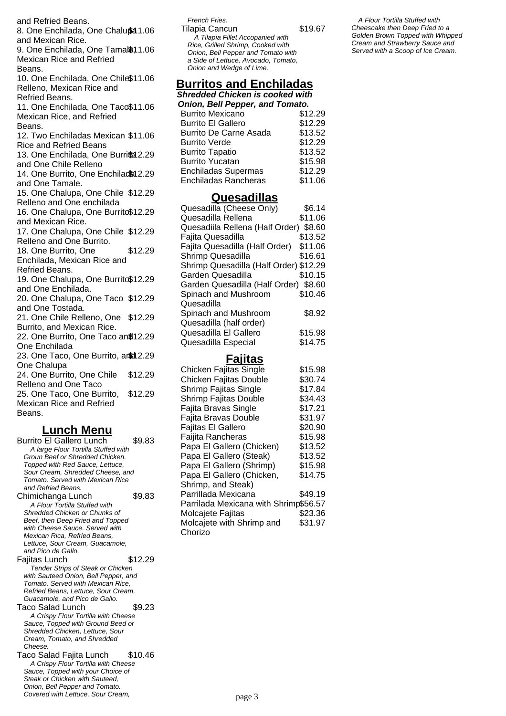and Refried Beans. 8. One Enchilada, One Chalu\$ a 1.06 and Mexican Rice. 9. One Enchilada, One Tamal\$11.06 Mexican Rice and Refried Beans. 10. One Enchilada, One Chile \$11.06 Relleno, Mexican Rice and Refried Beans. 11. One Enchilada, One Taco\$11.06 Mexican Rice, and Refried Beans. 12. Two Enchiladas Mexican \$11.06 Rice and Refried Beans 13. One Enchilada, One Burrifol 2.29 and One Chile Relleno 14. One Burrito, One Enchilada 2.29 and One Tamale. 15. One Chalupa, One Chile \$12.29 Relleno and One enchilada 16. One Chalupa, One Burrito \$12.29 and Mexican Rice. 17. One Chalupa, One Chile \$12.29 Relleno and One Burrito. 18. One Burrito, One Enchilada, Mexican Rice and Refried Beans. \$12.29 19. One Chalupa, One Burrito\$12.29 and One Enchilada. 20. One Chalupa, One Taco \$12.29 and One Tostada. 21. One Chile Relleno, One \$12.29 Burrito, and Mexican Rice. 22. One Burrito, One Taco an \$12.29 One Enchilada 23. One Taco, One Burrito, anid 2.29 One Chalupa 24. One Burrito, One Chile Relleno and One Taco \$12.29 25. One Taco, One Burrito, Mexican Rice and Refried Beans. \$12.29

## **Lunch Menu**

Burrito El Gallero Lunch \$9.83 A large Flour Tortilla Stuffed with Groun Beef or Shredded Chicken. Topped with Red Sauce, Lettuce, Sour Cream, Shredded Cheese, and Tomato. Served with Mexican Rice and Refried Beans. Chimichanga Lunch \$9.83 A Flour Tortilla Stuffed with Shredded Chicken or Chunks of Beef, then Deep Fried and Topped with Cheese Sauce. Served with Mexican Rica, Refried Beans, Lettuce, Sour Cream, Guacamole, and Pico de Gallo. Fajitas Lunch \$12.29 Tender Strips of Steak or Chicken with Sauteed Onion, Bell Pepper, and Tomato. Served with Mexican Rice, Refried Beans, Lettuce, Sour Cream, Guacamole, and Pico de Gallo. Taco Salad Lunch \$9.23 A Crispy Flour Tortilla with Cheese Sauce, Topped with Ground Beed or Shredded Chicken, Lettuce, Sour Cream, Tomato, and Shredded Cheese. Taco Salad Fajita Lunch \$10.46 A Crispy Flour Tortilla with Cheese Sauce, Topped with your Choice of Steak or Chicken with Sauteed,

Onion, Bell Pepper and Tomato. Covered with Lettuce, Sour Cream,

French Fries. Tilapia Cancun \$19.67 A Tilapia Fillet Accopanied with Rice, Grilled Shrimp, Cooked with Onion, Bell Pepper and Tomato with a Side of Lettuce, Avocado, Tomato, Onion and Wedge of Lime.

#### **Burritos and Enchiladas**

**Shredded Chicken is cooked with Onion, Bell Pepper, and Tomato.**

| <b>Burrito Mexicano</b>       | \$12.29 |
|-------------------------------|---------|
| <b>Burrito El Gallero</b>     | \$12.29 |
| <b>Burrito De Carne Asada</b> | \$13.52 |
| <b>Burrito Verde</b>          | \$12.29 |
| <b>Burrito Tapatio</b>        | \$13.52 |
| <b>Burrito Yucatan</b>        | \$15.98 |
| <b>Enchiladas Supermas</b>    | \$12.29 |
| <b>Enchiladas Rancheras</b>   | \$11.06 |

#### **Quesadillas**

| Quesadilla (Cheese Only)               | \$6.14  |
|----------------------------------------|---------|
| Quesadilla Rellena                     | \$11.06 |
| Quesadiila Rellena (Half Order)        | \$8.60  |
| Fajita Quesadilla                      | \$13.52 |
| Fajita Quesadilla (Half Order)         | \$11.06 |
| Shrimp Quesadilla                      | \$16.61 |
| Shrimp Quesadilla (Half Order) \$12.29 |         |
| Garden Quesadilla                      | \$10.15 |
| Garden Quesadilla (Half Order) \$8.60  |         |
| Spinach and Mushroom                   | \$10.46 |
| Quesadilla                             |         |
| Spinach and Mushroom                   | \$8.92  |
| Quesadilla (half order)                |         |
| Quesadilla El Gallero                  | \$15.98 |
| Quesadilla Especial                    | \$14.75 |

#### **Fajitas**

| Chicken Fajitas Single                | \$15.98 |
|---------------------------------------|---------|
| Chicken Fajitas Double                | \$30.74 |
| <b>Shrimp Fajitas Single</b>          | \$17.84 |
| Shrimp Fajitas Double                 | \$34.43 |
| Fajita Bravas Single                  | \$17.21 |
| Fajita Bravas Double                  | \$31.97 |
| Fajitas El Gallero                    | \$20.90 |
| Faijita Rancheras                     | \$15.98 |
| Papa El Gallero (Chicken)             | \$13.52 |
| Papa El Gallero (Steak)               | \$13.52 |
| Papa El Gallero (Shrimp)              | \$15.98 |
| Papa El Gallero (Chicken,             | \$14.75 |
| Shrimp, and Steak)                    |         |
| Parrillada Mexicana                   | \$49.19 |
| Parrilada Mexicana with Shrimp\$56.57 |         |
| Molcajete Fajitas                     | \$23.36 |
| Molcajete with Shrimp and             | \$31.97 |
| Chorizo                               |         |

A Flour Tortilla Stuffed with Cheescake then Deep Fried to a Golden Brown Topped with Whipped Cream and Strawberry Sauce and Served with a Scoop of Ice Cream.